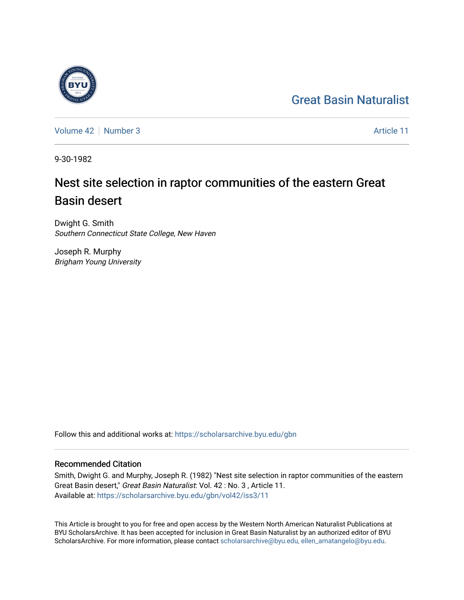## [Great Basin Naturalist](https://scholarsarchive.byu.edu/gbn)



[Volume 42](https://scholarsarchive.byu.edu/gbn/vol42) [Number 3](https://scholarsarchive.byu.edu/gbn/vol42/iss3) Article 11

9-30-1982

# Nest site selection in raptor communities of the eastern Great Basin desert

Dwight G. Smith Southern Connecticut State College, New Haven

Joseph R. Murphy Brigham Young University

Follow this and additional works at: [https://scholarsarchive.byu.edu/gbn](https://scholarsarchive.byu.edu/gbn?utm_source=scholarsarchive.byu.edu%2Fgbn%2Fvol42%2Fiss3%2F11&utm_medium=PDF&utm_campaign=PDFCoverPages) 

### Recommended Citation

Smith, Dwight G. and Murphy, Joseph R. (1982) "Nest site selection in raptor communities of the eastern Great Basin desert," Great Basin Naturalist: Vol. 42 : No. 3 , Article 11. Available at: [https://scholarsarchive.byu.edu/gbn/vol42/iss3/11](https://scholarsarchive.byu.edu/gbn/vol42/iss3/11?utm_source=scholarsarchive.byu.edu%2Fgbn%2Fvol42%2Fiss3%2F11&utm_medium=PDF&utm_campaign=PDFCoverPages) 

This Article is brought to you for free and open access by the Western North American Naturalist Publications at BYU ScholarsArchive. It has been accepted for inclusion in Great Basin Naturalist by an authorized editor of BYU ScholarsArchive. For more information, please contact [scholarsarchive@byu.edu, ellen\\_amatangelo@byu.edu.](mailto:scholarsarchive@byu.edu,%20ellen_amatangelo@byu.edu)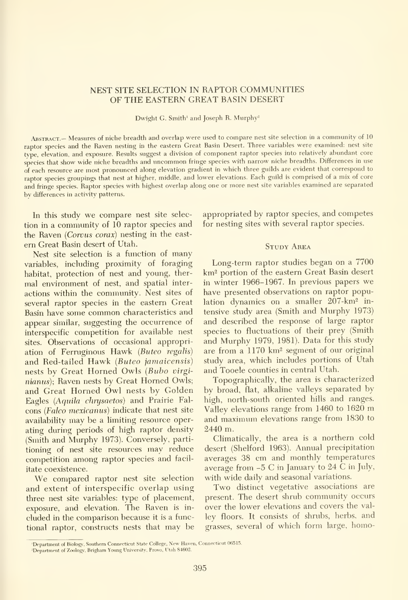#### NEST SITE SELECTION IN RAPTOR COMMUNITIES OF THE EASTERN GREAT BASIN DESERT

Dwight G. Smith' and Joseph R. Murphy^

Abstract.- Measures of niche breadth and overlap were used to compare nest site selection in <sup>a</sup> community of <sup>10</sup> raptor species and the Raven nesting in the eastern Great Basin Desert. Three variables were examined: nest site type, elevation, and exposure. Results suggest a division of component raptor species into relatively abundant core species that show wide niche breadths and uncommon fringe species with narrow niche breadths. Differences in use of each resource are most pronounced along elevation gradient in which three guilds are evident that correspond to raptor species groupings that nest at higher, middle, and lower elevations. Each guild is comprised of <sup>a</sup> mix of core and fringe species. Raptor species with highest overlap along one or more nest site variables examined are separated bv differences in activity patterns.

In this study we compare nest site selec tion in a community of 10 raptor species and the Raven {Corvus corax) nesting in the east em Great Basin desert of Utah.

Nest site selection is <sup>a</sup> function of many variables, including proximity of foraging habitat, protection of nest and young, ther mal environment of nest, and spatial inter actions within the community. Nest sites of several raptor species in the eastern Great Basin have some common characteristics and appear similar, suggesting the occurrence of interspecific competition for available nest sites. Observations of occasional appropriation of Ferruginous Hawk (Buteo regalis) and Red-tailed Hawk (Buteo jamaicensis) nests by Great Horned Owls {Bubo virginianus); Raven nests by Great Horned Owls; and Great Horned Owl nests by Golden Eagles (Aquila chrysaetos) and Prairie Falcons {Falco mexicanus) indicate that nest site availability may be a limiting resource operating during periods of high raptor density (Smith and Murphy 1973). Conversely, partitioning of nest site resources may reduce competition among raptor species and facil itate coexistence.

We compared raptor nest site selection and extent of interspecific overlap using three nest site variables: type of placement, exposure, and elevation. The Raven is in cluded in the comparison because it is a functional raptor, constructs nests that may be appropriated by raptor species, and competes for nesting sites with several raptor species.

#### **STUDY AREA**

Long-term raptor studies began on a 7700 km2 portion of the eastern Great Basin desert in winter 1966-1967. In previous papers we have presented observations on raptor population dynamics on a smaller 207-km2 in tensive study area (Smith and Murphy 1973) and described the response of large raptor species to fluctuations of their prey (Smith and Murphy 1979, 1981). Data for this study are from a 1170 km<sup>2</sup> segment of our original study area, which includes portions of Utah and Tooele counties in central Utah.

Topographically, the area is characterized by broad, flat, alkaline valleys separated by high, north-south oriented hills and ranges. Valley elevations range from <sup>1460</sup> to <sup>1620</sup> m and maximum elevations range from 1830 to 2440 m.

Climatically, the area is a northern cold desert (Shelford 1963). Annual precipitation averages 38 cm and monthly temperatures average from -5 C in January to 24 C in July, with wide daily and seasonal variations.

Two distinct vegetative associations are present. The desert shrub community occurs over the lower elevations and covers the val ley floors. It consists of shrubs, herbs, and grasses, several of which form large, homo-

<sup>&#</sup>x27;Department of Biology, Southern Connecticut State College, New Haven, Connecticut 06515.

<sup>&</sup>lt;sup>2</sup>Department of Zoology, Brigham Young University, Provo, Utah 84602.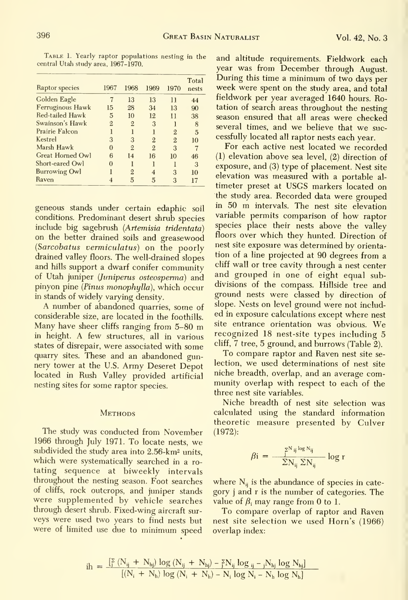TABLE 1. Yearly raptor populations nesting in the and altitude requirements. Fieldwork each central Utah study area, 1967-1970.

| Raptor species       | 1967           | 1968           | 1969           | 1970           | Total<br>nests |
|----------------------|----------------|----------------|----------------|----------------|----------------|
| Golden Eagle         |                | 13             | 13             | $\mathbf{1}$   | 44             |
| Ferruginous Hawk     | 15             | 28             | 34             | 13             | 90             |
| Red-tailed Hawk      | 5              | 10             | 12             | $\mathbf{1}$   | 38             |
| Swainson's Hawk      | $\overline{2}$ | $\overline{2}$ | 3              |                | 8              |
| Prairie Falcon       |                |                |                | $\overline{2}$ | 5              |
| Kestrel              | 3              | 3              | $\overline{2}$ | $\overline{2}$ | 10             |
| Marsh Hawk           | 0              | $\overline{2}$ | $\mathfrak{D}$ | 3              | 7              |
| Great Horned Owl     | 6              | 14             | 16             | 10             | 46             |
| Short-eared Owl      | 0              | ı              |                |                | 3              |
| <b>Burrowing Owl</b> |                | 2              | 4              | 3              | 10             |
| Raven                |                | 5              | 5              | 3              | 17             |

geneous stands under certain edaphic soil conditions. Predominant desert shrub species include big sagebrush (Artemisia tridentata) on the better drained soils and greasewood (Sarcobatus vermiculatus) on the poorly drained valley floors. The well-drained slopes and hills support a dwarf conifer community of Utah juniper (Juniperus osteosperma) and pinyon pine (Pinus monophylla), which occur in stands of widely varying density.

A number of abandoned quarries, some of considerable size, are located in the foothills. Many have sheer cliffs ranging from 5-80 m in height. A few structures, all in various states of disrepair, were associated with some quarry sites. These and an abandoned gunnery tower at the U.S. Army Deseret Depot located in Rush Valley provided artificial nesting sites for some raptor species.

#### **METHODS**

The study was conducted from November 1966 through July 1971. To locate nests, we subdivided the study area into 2.56-km<sup>2</sup> units. which were systematically searched in a rotating sequence at biweekly intervals throughout the nesting season. Foot searches of cliffs, rock outcrops, and juniper stands were supplemented by vehicle searches through desert shrub. Fixed-wing aircraft surveys were used two years to find nests but were of limited use due to minimum speed

year was from December through August. During this time a minimum of two days per week were spent on the study area, and total fieldwork per year averaged 1640 hours. Rotation of search areas throughout the nesting season ensured that all areas were checked several times, and we believe that we successfully located all raptor nests each year.

For each active nest located we recorded  $(1)$  elevation above sea level,  $(2)$  direction of exposure, and (3) type of placement. Nest site elevation was measured with a portable altimeter preset at USGS markers located on the study area. Recorded data were grouped in 50 m intervals. The nest site elevation variable permits comparison of how raptor species place their nests above the valley floors over which they hunted. Direction of nest site exposure was determined by orientation of a line projected at 90 degrees from a cliff wall or tree cavity through a nest center and grouped in one of eight equal subdivisions of the compass. Hillside tree and ground nests were classed by direction of slope. Nests on level ground were not included in exposure calculations except where nest site entrance orientation was obvious. We recognized 18 nest-site types including 5 cliff, 7 tree, 5 ground, and burrows (Table 2).

To compare raptor and Raven nest site selection, we used determinations of nest site niche breadth, overlap, and an average community overlap with respect to each of the three nest site variables.

Niche breadth of nest site selection was calculated using the standard information theoretic measure presented by Culver  $(1972):$ 

$$
\beta i = \frac{\sum_{j}^{N_{ij} \log N_{ij}}}{\sum_{j}^{N_{ij}} \sum_{j}^{N_{ij}}} \log r
$$

where  $N_{ij}$  is the abundance of species in category j and r is the number of categories. The value of  $\beta_i$  may range from 0 to 1.

To compare overlap of raptor and Raven nest site selection we used Horn's (1966) overlap index:

$$
ih = \frac{\frac{1}{2} (N_{ij} + N_{hj}) \log (N_{ij} + N_{hj}) - \frac{5}{2} N_{ij} \log_{ij} - \frac{1}{2} N_{hj} \log N_{hj}}{[(N_i + N_h) \log (N_i + N_h) - N_i \log N_i - N_h \log N_h]}
$$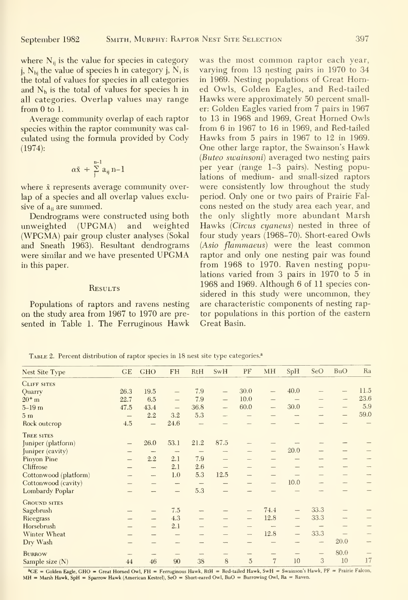Average community overlap of each raptor species within the raptor community was cal culated using the formula provided by Cody (1974):

$$
\alpha \bar{x} \; \div \; \sum_{j}^{n-1} a_{ij} \, n-1
$$

where  $\bar{x}$  represents average community overlap of a species and all overlap values exclusive of  $a_{ii}$  are summed.

Dendrograms were constructed using both unweighted (UPGMA) and weighted (WPGMA) pair group cluster analyses (Sokal and Sneath 1963). Resultant dendrograms were similar and we have presented UPGMA in this paper.

#### **RESULTS**

Populations of raptors and ravens nesting on the study area from 1967 to 1970 are pre sented in Table 1. The Ferruginous Hawk

was the most common raptor each year, varying from 13 nesting pairs in 1970 to 34 in 1969. Nesting populations of Great Horned Owls, Golden Eagles, and Red-tailed Hawks were approximately 50 percent smaller: Golden Eagles varied from 7 pairs in 1967 to 13 in 1968 and 1969, Great Horned Owls from 6 in 1967 to 16 in 1969, and Red-tailed Hawks from 5 pairs in 1967 to 12 in 1969. One other large raptor, the Swainson's Hawk {Buteo swainsoni) averaged two nesting pairs per year (range 1-3 pairs). Nesting populations of medium- and small-sized raptors were consistently low throughout the study period. Only one or two pairs of Prairie Fal cons nested on the study area each year, and the only slightly more abundant Marsh Hawks (Circus cyaneus) nested in three of four study years (1968-70). Short-eared Owls (Asio flammaeus) were the least common raptor and only one nesting pair was found from 1968 to 1970. Raven nesting populations varied from 3 pairs in 1970 to 5 in 1968 and 1969. Although 6 of 11 species considered in this study were uncommon, they are characteristic components of nesting raptor populations in this portion of the eastern Great Basin.

TABLE 2. Percent distribution of raptor species in 18 nest site type categories.<sup>a</sup>

| Nest Site Type        | GE                | <b>GHO</b>               | <b>FH</b>                | RtH                      | SwH                      | PF                       | <b>MH</b>                | SpH                      | SeO               | <b>BuO</b>               | Ra                       |
|-----------------------|-------------------|--------------------------|--------------------------|--------------------------|--------------------------|--------------------------|--------------------------|--------------------------|-------------------|--------------------------|--------------------------|
| CLIFF SITES           |                   |                          |                          |                          |                          |                          |                          |                          |                   |                          |                          |
| Quarry                | 26.3              | 19.5                     | $\qquad \qquad$          | 7.9                      | $\qquad \qquad -$        | 30.0                     | ÷.                       | 40.0                     |                   | $\overline{a}$           | 11.5                     |
| $20^{+}$ m            | 22.7              | 6.5                      |                          | 7.9                      |                          | 10.0                     | $\frac{1}{2}$            |                          |                   | -                        | 23.6                     |
| $5 - 19m$             | 47.5              | 43.4                     |                          | 36.8                     | $\overline{\phantom{a}}$ | 60.0                     | $\overline{\phantom{a}}$ | 30.0                     | -                 | $\overline{\phantom{0}}$ | 5.9                      |
| 5m                    | $\qquad \qquad -$ | 2.2                      | 3.2                      | 5.3                      |                          |                          |                          | $\sim$                   |                   | —                        | 59.0                     |
| Rock outcrop          | 4.5               | $\overline{\phantom{m}}$ | 24.6                     | $\qquad \qquad$          |                          |                          |                          |                          |                   |                          |                          |
| TREE SITES            |                   |                          |                          |                          |                          |                          |                          |                          |                   |                          |                          |
| Juniper (platform)    |                   | 26.0                     | 53.1                     | 21.2                     | 87.5                     |                          |                          |                          |                   |                          |                          |
| Juniper (cavity)      |                   |                          |                          |                          | $\overline{a}$           |                          | $\qquad \qquad$          | 20.0                     |                   | --                       |                          |
| Pinyon Pine           |                   | 2.2                      | 2.1                      | 7.9                      | —                        |                          |                          |                          |                   |                          |                          |
| Cliffrose             |                   | $\overline{\phantom{a}}$ | 2.1                      | 2.6                      | $\qquad \qquad -$        | -                        |                          |                          |                   | ÷                        |                          |
| Cottonwood (platform) |                   |                          | 1.0                      | 5.3                      | 12.5                     | ---                      | —                        |                          |                   |                          |                          |
| Cottonwood (cavity)   |                   |                          | $\overline{\phantom{a}}$ | $\qquad \qquad - \qquad$ | $\qquad \qquad -$        |                          |                          | 10.0                     |                   |                          |                          |
| Lombardy Poplar       |                   |                          | $\qquad \qquad -$        | 5.3                      |                          |                          |                          |                          |                   |                          |                          |
| <b>GROUND SITES</b>   |                   |                          |                          |                          |                          |                          |                          |                          |                   |                          |                          |
| Sagebrush             | --                | -                        | 7.5                      | $\overline{\phantom{a}}$ |                          | -                        | 74.4                     | $\overline{\phantom{0}}$ | 33.3              |                          |                          |
| Ricegrass             | ÷                 |                          | 4.3                      | -                        | -                        | $\overline{\phantom{a}}$ | 12.8                     | $\qquad \qquad -$        | 33.3              |                          |                          |
| Horsebrush            |                   | $\overline{\phantom{a}}$ | 2.1                      |                          | <u></u>                  |                          |                          | $\frac{1}{2}$            |                   |                          |                          |
| Winter Wheat          |                   |                          |                          |                          |                          | $\overline{\phantom{m}}$ | 12.8                     | $\qquad \qquad -$        | 33.3              |                          |                          |
| Dry Wash              |                   |                          |                          |                          |                          |                          |                          |                          | -                 | 20.0                     | $\overline{\phantom{a}}$ |
| <b>BURROW</b>         |                   |                          |                          | $\overline{\phantom{a}}$ | -                        | $\overline{\phantom{a}}$ |                          |                          | $\qquad \qquad -$ | 80.0                     |                          |
| Sample size $(N)$     | 44                | 46                       | 90                       | 38                       | 8                        | $\overline{5}$           | $\overline{7}$           | 10                       | 3                 | 10                       | 17                       |
|                       |                   |                          |                          |                          |                          |                          |                          |                          |                   |                          |                          |

<sup>2</sup>GE = Golden Eagle, GHO = Great Horned Owl, FH = Ferruginous Hawk, RtH = Red-tailed Hawk, SwH = Swainson's Hawk, PF = Prairie Falcon, MH = Marsh Hawk, SpH = Sparrow Hawk (American Kestrel), SeO = Short-eared Owl, BuO = Burrowing Owl, Ra = Raven.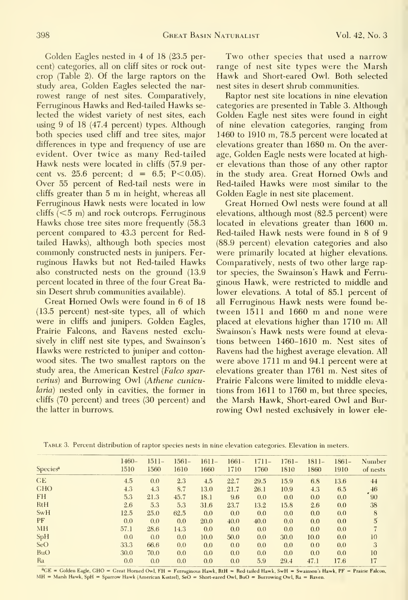Golden Eagles nested in 4 of 18 (23.5 percent) categories, all on cliff sites or rock out crop (Table 2). Of the large raptors on the study area. Golden Eagles selected the nar rowest range of nest sites. Comparatively, Ferruginous Hawks and Red-tailed Hawks se lected the widest variety of nest sites, each using 9 of 18 (47.4 percent) types. Although both species used cliff and tree sites, major differences in type and frequency of use are evident. Over twice as many Red-tailed Hawk nests were located in cliffs (57.9 per cent vs. 25.6 percent;  $d = 6.5$ ; P $< 0.05$ ). Over 55 percent of Red-tail nests were in cliffs greater than <sup>5</sup> m in height, whereas all Ferruginous Hawk nests were located in low cliffs (<5 m) and rock outcrops. Ferruginous Hawks chose tree sites more frequently (58.3 percent compared to 43.3 percent for Redtailed Hawks), although both species most commonly constructed nests in junipers. Ferruginous Hawks but not Red-tailed Hawks also constructed nests on the ground (13.9 percent located in three of the four Great Basin Desert shrub communities available).

Great Homed Owls were found in 6 of 18 (13.5 percent) nest-site types, all of which were in cliffs and junipers. Golden Eagles, Prairie Falcons, and Ravens nested exclusively in cliff nest site types, and Swainson's Hawks were restricted to juniper and cotton wood sites. The two smallest raptors on the study area, the American Kestrel {Falco sparverius) and Burrowing Owl {Athene cunicularia) nested only in cavities, the former in cliffs (70 percent) and trees (30 percent) and the latter in burrows.

Two other species that used <sup>a</sup> narrow range of nest site types were the Marsh Hawk and Short-eared Owl. Both selected nest sites in desert shrub communities.

Raptor nest site locations in nine elevation categories are presented in Table 3. Although Golden Eagle nest sites were found in eight of nine elevation categories, ranging from 1460 to 1910 m, 78.5 percent were located at elevations greater than 1680 m. On the average, Golden Eagle nests were located at higher elevations than those of any other raptor in the study area. Great Horned Owls and Red-tailed Hawks were most similar to the Golden Eagle in nest site placement.

Great Horned Owl nests were found at all elevations, although most (82.5 percent) were located in elevations greater than 1600 m. Red-tailed Hawk nests were found in <sup>8</sup> of 9 (88.9 percent) elevation categories and also were primarily located at higher elevations. Comparatively, nests of two other large raptor species, the Swainson's Hawk and Ferru ginous Hawk, were restricted to middle and lower elevations. A total of 85.1 percent of all Ferruginous Hawk nests were found be tween <sup>1511</sup> and 1660 m and none were placed at elevations higher than 1710 m: All Swainson's Hawk nests were found at elevations between 1460-1610 m. Nest sites of Ravens had the highest average elevation. All were above <sup>1711</sup> m and 94.1 percent were at elevations greater than 1761 m. Nest sites of Prairie Falcons were limited to middle elevations from 1611 to 1760 m, but three species, the Marsh Hawk, Short-eared Owl and Bur rowing Owl nested exclusively in lower ele-

|                      | $1460-$ | $1511-$ | $1561-$ | $1611-$ | $1661-$ | $1711-$          | $1761-$ | $1811-$ | $1861-$ | Number       |
|----------------------|---------|---------|---------|---------|---------|------------------|---------|---------|---------|--------------|
| Species <sup>a</sup> | 1510    | 1560    | 1610    | 1660    | 1710    | 1760             | 1810    | 1860    | 1910    | of nests     |
| CE                   | 4.5     | 0.0     | 2.3     | 4.5     | 22.7    | 29.5             | 15.9    | 6.8     | 13.6    | 44           |
| <b>GHO</b>           | 4.3     | 4.3     | 8.7     | 13.0    | 21.7    | 26.1             | 10.9    | 4.3     | 6.5     | 46           |
| <b>FH</b>            | 5.3     | 21.3    | 45.7    | 18.1    | 9.6     | 0.0              | 0.0     | 0.0     | 0.0     | 90           |
| <b>RtH</b>           | 2.6     | 5.3     | 5.3     | 31.6    | 23.7    | 13.2             | 15.8    | 2.6     | 0.0     | 38           |
| <b>SwH</b>           | 12.5    | 25.0    | 62.5    | 0.0     | 0.0     | 0.0              | 0.0     | 0.0     | 0.0     | 8            |
| PF                   | 0.0     | 0.0     | 0.0     | 20.0    | 40.0    | 40.0             | 0.0     | 0.0     | 0.0     | $\mathbf{5}$ |
| MH                   | 57.1    | 28.6    | 14.3    | 0.0     | 0.0     | 0.0              | 0.0     | 0.0     | 0.0     |              |
| <b>SpH</b>           | 0.0     | 0.0     | 0.0     | 10.0    | 50.0    | 0.0 <sub>1</sub> | 30.0    | 10.0    | 0.0     | 10           |
| SeO                  | 33.3    | 66.6    | 0.0     | 0.0     | 0.0     | 0.0              | 0.0     | 0.0     | 0.0     | 3            |
| <b>BuO</b>           | 30.0    | 70.0    | 0.0     | 0.0     | 0.0     | 0.0              | 0.0     | 0.0     | 0.0     | 10           |
| Ra                   | 0.0     | 0.0     | 0.0     | 0.0     | 0.0     | 5.9              | 29.4    | 47.1    | 17.6    | 17           |

Table 3. Percent distribution of raptor species nests in nine elevation categories. Elevation in meters.

<sup>a</sup>GE = Golden Eagle, GHO = Great Horned Owl, FH = Ferruginous Hawk, RtH = Red-tailed Hawk, SwH = Swainson's Hawk, PF = Prairie Falcon, MH = Marsh Hawk, SpH = Sparrow Hawk (American Kestrel), SeO = Short-eared Owl, BuO = Burrowing Owl, Ra = Raven.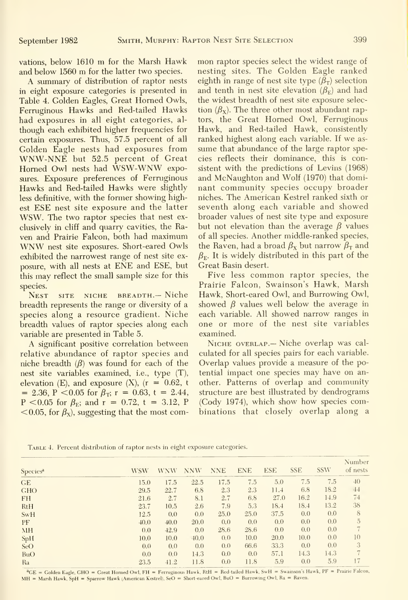vations, below <sup>1610</sup> m for the Marsh Hawk and below 1560 m for the latter two species.

A summary of distribution of raptor nests in eight exposure categories is presented in Table 4. Golden Eagles, Great Horned Owls, Ferruginous Hawks and Red-tailed Hawks had exposures in all eight categories, al though each exhibited higher frequencies for certain exposures. Thus, 57.5 percent of all Golden Eagle nests had exposures from WNW-NNE but 52.5 percent of Great Homed Owl nests had WSW-WNW exposures. Exposure preferences of Ferruginous Hawks and Red-tailed Hawks were slightly less definitive, with the former showing highest ESE nest site exposure and the latter WSW. The two raptor species that nest ex clusively in cliff and quarry cavities, the Ra ven and Prairie Falcon, both had maximum WNW nest site exposures. Short-eared Owls exhibited the narrowest range of nest site ex posure, with all nests at ENE and ESE, but this may reflect the small sample size for this species.

Nest site niche breadth.— Niche breadth represents the range or diversity of a species along a resource gradient. Niche breadth values of raptor species along each variable are presented in Table 5.

A significant positive correlation between relative abundance of raptor species and niche breadth  $(\beta)$  was found for each of the nest site variables examined, i.e., type (T), elevation (E), and exposure (X),  $(r = 0.62, t)$  $= 2.36$ , P < 0.05 for  $\beta_{\rm T}$ ; r = 0.63, t = 2.44, P <0.05 for  $\beta_{\rm E}$ ; and r = 0.72, t = 3.12, P  $<$  0.05, for  $\beta_{\rm X}$ , suggesting that the most common raptor species select the widest range of nesting sites. The Golden Eagle ranked eighth in range of nest site type  $(\beta_{\tau})$  selection and tenth in nest site elevation  $(\beta_F)$  and had the widest breadth of nest site exposure selec tion  $(\beta_x)$ . The three other most abundant raptors, the Great Homed Owl, Ferruginous Hawk, and Red-tailed Hawk, consistently ranked highest along each variable. If we as sume that abundance of the large raptor species reflects their dominance, this is consistent with the predictions of Levins (1968) and McNaughton and Wolf (1970) that dominant community species occupy broader niches. The American Kestrel ranked sixth or seventh along each variable and showed broader values of nest site type and exposure but not elevation than the average  $\beta$  values of all species. Another middle-ranked species, the Raven, had a broad  $\beta_x$  but narrow  $\beta_{\text{T}}$  and  $\beta_{\rm E}$ . It is widely distributed in this part of the Great Basin desert.

Five less common raptor species, the Prairie Falcon, Swainson's Hawk, Marsh Hawk, Short-eared Owl, and Burrowing Owl, showed  $\beta$  values well below the average in each variable. All showed narrow ranges in one or more of the nest site variables examined.

Niche overlap.— Niche overlap was cal culated for all species pairs for each variable. Overlap values provide a measure of the potential impact one species may have on another. Patterns of overlap and community structure are best illustrated by dendrograms (Cody 1974), which show how species combinations that closely overlap along a

TABLE 4. Percent distribution of raptor nests in eight exposure categories.

| Species <sup>a</sup> | <b>WSW</b> | <b>WNW</b> | NNW  | <b>NNE</b> | <b>ENE</b> | <b>ESE</b> | <b>SSE</b> | <b>SSW</b> | Number<br>of nests |
|----------------------|------------|------------|------|------------|------------|------------|------------|------------|--------------------|
| GE                   | 15.0       | 17.5       | 22.5 | 17.5       | 7.5        | 5.0        | 7.5        | 7.5        | 40                 |
| <b>GHO</b>           | 29.5       | 22.7       | 6.8  | 2.3        | 2.3        | 11.4       | 6.8        | 18.2       | $+4$               |
| <b>FH</b>            | 21.6       | 2.7        | 8.1  | 2.7        | 6.8        | 27.0       | 16.2       | 14.9       | 74                 |
| <b>RtH</b>           | 23.7       | 10.5       | 2.6  | 7.9        | 5.3        | 18.4       | 18.4       | 13.2       | 38                 |
| <b>SwH</b>           | 12.5       | 0.0        | 0.0  | 25.0       | 25.0       | 37.5       | 0.0        | 0.0        | 8                  |
| PF                   | 40.0       | 40.0       | 20.0 | 0.0        | 0.0        | 0.0        | 0.0        | 0.0        | $\overline{5}$     |
| <b>MH</b>            | 0.0        | 42.9       | 0.0  | 28.6       | 28.6       | 0.0        | 0.0        | 0.0        | 7.                 |
| SpH                  | 10.0       | 10.0       | 40.0 | 0.0        | 10.0       | 20.0       | 10.0       | 0.0        | 10                 |
| SeO                  | 0.0        | 0.0        | 0.0  | 0.0        | 66.6       | 33.3       | 0.0        | 0.0        | 3                  |
| <b>BuO</b>           | 0.0        | 0.0        | 14.3 | 0.0        | 0.0        | 57.1       | 14.3       | 14.3       |                    |
| Ra                   | 23.5       | $-41.2$    | 11.8 | 0.0        | 11.8       | 5.9        | 0.0        | 5.9        | 17                 |

<sup>a</sup>CE = Golden Eagle, GHO = Great Horned Owl, FH = Ferruginous Hawk, RtH = Red-tailed Hawk, SwH = Swainson's Hawk, PF = Prairie Falcon, MH = Marsh Hawk, SpH = Sparrow Hawk (American Kestrel), SeO = Short-eared Owl, BuO = Burrowing Owl, Ra = Raven.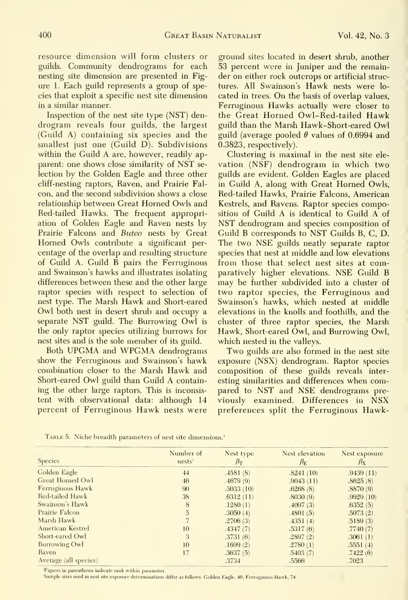resource dimension will form clusters or guilds. Community dendrograms for each nesting site dimension are presented in Fig ure 1. Each guild represents a group of species that exploit a specific nest site dimension in a similar manner.

Inspection of the nest site type (NST) dendrogram reveals four guilds, the largest (Guild A) containing six species and the smallest just one (Guild D). Subdivisions within the Guild A are, however, readily apparent: one shows close similarity of NST se lection by the Golden Eagle and three other cliff-nesting raptors. Raven, and Prairie Falcon, and the second subdivision shows a close relationship between Great Horned Owls and Red-tailed Hawks. The frequent appropriation of Golden Eagle and Raven nests by Prairie Falcons and Buteo nests by Great Homed Owls contribute <sup>a</sup> significant per centage of the overlap and resulting structure of Guild A. Guild B pairs the Ferruginous and Swainson's hawks and illustrates isolating differences between these and the other large raptor species with respect to selection of nest type. The Marsh Hawk and Short-eared Owl both nest in desert shrub and occupy <sup>a</sup> separate NST guild. The Burrowing Owl is the only raptor species utilizing burrows for nest sites and is the sole member of its guild.

Both UPGMA and WPGMA dendrograms show the Ferruginous and Swainson's hawk combination closer to the Marsh Hawk and Short-eared Owl guild than Guild A containing the other large raptors. This is inconsis tent with observational data: although 14 percent of Ferruginous Hawk nests were

ground sites located in desert shrub, another 53 percent were in Juniper and the remainder on either rock outcrops or artificial structures. All Swainson's Hawk nests were lo cated in trees. On the basis of overlap values. Ferruginous Hawks actually were closer to the Great Horned Owl-Red-tailed Hawk guild than the Marsh Hawk-Short-eared Owl guild (average pooled  $\theta$  values of 0.6994 and 0.3823, respectively).

Clustering is maximal in the nest site ele vation (NSF) dendrogram in which two guilds are evident. Golden Eagles are placed in Guild A, along with Great Horned Owls, Red-tailed Hawks, Prairie Falcons, American Kestrels, and Ravens. Raptor species composition of Guild A is identical to Guild A of NST dendrogram and species composition of Guild B corresponds to NST Guilds B, C, D. The two NSE guilds neatly separate raptor species that nest at middle and low elevations from those that select nest sites at comparatively higher elevations. NSE Guild B may be further subdivided into <sup>a</sup> cluster of two raptor species, the Ferruginous and Swainson's hawks, which nested at middle elevations in the knolls and foothills, and the cluster of three raptor species, the Marsh Hawk, Short-eared Owl, and Burrowing Owl, which nested in the valleys.

Two guilds are also formed in the nest site exposure (NSX) dendrogram. Raptor species composition of these guilds reveals inter esting similarities and differences when compared to NST and NSE dendrograms pre viously examined. Differences in NSX preferences split the Ferruginous Hawk-

|                       | Number of          | Nest type       | Nest elevation  | Nest exposure   |  |
|-----------------------|--------------------|-----------------|-----------------|-----------------|--|
| <b>Species</b>        | nests <sup>2</sup> | $\beta_{\rm T}$ | $\beta_{\rm E}$ | $\beta_{\rm X}$ |  |
| Golden Eagle          | 44                 | .4581(8)        | .8241(10)       | .9439(11)       |  |
| Great Horned Owl      | 46                 | .4679(9)        | .9043(11)       | .8625(8)        |  |
| Ferruginous Hawk      | 90                 | .5033(10)       | .6268(8)        | .8870(9)        |  |
| Red-tailed Hawk       | 38                 | .6312(11)       | .8030(9)        | .9929(10)       |  |
| Swainson's Hawk       | 8                  | .1280(1)        | .4097(3)        | .6352(5)        |  |
| Prairie Falcon        | 5                  | .3050(4)        | .4801(5)        | .5073(2)        |  |
| Marsh Hawk            |                    | .2706(3)        | .4351(4)        | .5189(3)        |  |
| American Kestrel      | 10                 | .4347(7)        | .5317(6)        | .7740(7)        |  |
| Short-eared Owl       | 3                  | .3731(6)        | .2897(2)        | .3061(1)        |  |
| Burrowing Owl         | 10                 | .1699(2)        | .2780(1)        | .5551(4)        |  |
| Raven                 | 17                 | .3637(5)        | .5403(7)        | .7422(6)        |  |
| Average (all species) |                    | .3734           | .5566           | .7023           |  |

TABLE 5. Niche breadth parameters of nest site dimensions.<sup>1</sup>

Figures in parentheses indicate rank within parameter.

'Sample sizes used in nest site exposure determinations differ as follows: Golden Eagle, 40; Ferruginous Hawk, 74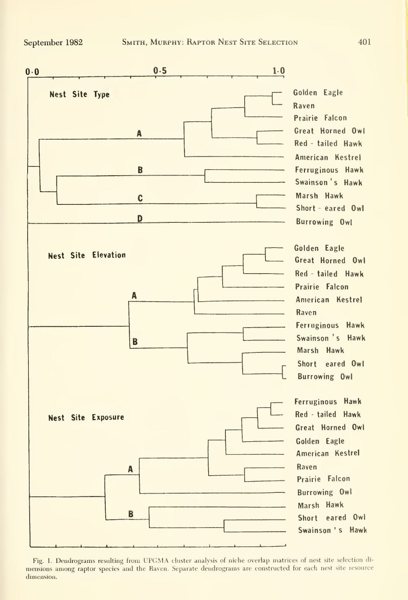

Fig. 1. Dendrograms resulting from UPGMA cluster analysis of niche overlap matrices of nest site selection di mensions among raptor species and the Raven. Separate dendrograms are constructed for each nest site lesource dimension.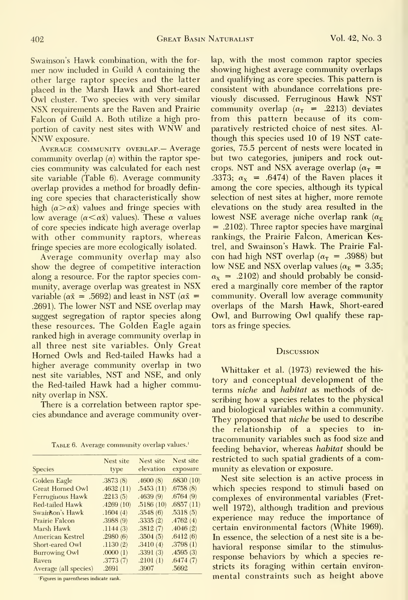NNW exposure.

community overlap  $(\alpha)$  within the raptor species community was calculated for each nest crops. NST and NSX average overlap  $(\alpha_T =$ ing core species that characteristically show of core species indicate high average overlap

along a resource. For the raptor species comsuggest segregation of raptor species along these resources. The Golden Eagle again tors as fringe species. ranked high in average community overlap in all three nest site variables. Only Great Homed Owls and Red-tailed Hawks had <sup>a</sup> higher average community overlap in two<br>Whittaker et al. (1973) reviewed the histhe Red-tailed Hawk had <sup>a</sup> higher community overlap in NSX.

There is a correlation between raptor species abundance and average community over-

TABLE 6. Average community overlap values.<sup>1</sup>

| <b>Species</b>          | Nest site<br>type | Nest site<br>elevation | Nest site<br>exposure |
|-------------------------|-------------------|------------------------|-----------------------|
| Golden Eagle            | .3873(8)          | .4600(8)               | .6830(10)             |
| <b>Great Horned Owl</b> | .4632(11)         | .5453(11)              | .6758(8)              |
| Ferruginous Hawk        | .2213(5)          | .4639(9)               | .6764(9)              |
| Red-tailed Hawk         | .4269(10)         | .5186(10)              | .6857(11)             |
| Swainson's Hawk         | .1604(4)          | .3548(6)               | .5318(5)              |
| Prairie Falcon          | .3988(9)          | .3335(2)               | .4762(4)              |
| Marsh Hawk              | .1144(3)          | .3812(7)               | .4046(2)              |
| American Kestrel        | .2980(6)          | .3504(5)               | .6412(6)              |
| Short-eared Owl         | .1130(2)          | .3410(4)               | .3798(1)              |
| <b>Burrowing Owl</b>    | .0000(1)          | .3391(3)               | .4595(3)              |
| Raven                   | .3773(7)          | .2101(1)               | .6474(7)              |
| Average (all species)   | .2691             | .3907                  | .5692                 |

'Figures in parentheses indicate rank.

Swainson's Hawk combination, with the for- lap, with the most common raptor species mer now included in Guild A containing the showing highest average community overlaps mer now included in Guild A containing the showing highest average community overlaps<br>other large raptor species and the latter and qualifying as core species. This pattern is other large raptor species and the latter and qualifying as core species. This pattern is placed in the Marsh Hawk and Short-eared consistent with abundance correlations preplaced in the Marsh Hawk and Short-eared – consistent with abundance correlations pre-<br>Owl cluster, Two species with very similar – viously -discussed, Ferruginous Hawk NST Owl cluster. Two species with very similar viously discussed. Ferruginous Hawk NST NSX requirements are the Raven and Prairie community overlap  $(\alpha_T = .2213)$  deviates NSX requirements are the Raven and Prairie community overlap  $(\alpha_T = .2213)$  deviates Falcon of Guild A. Both utilize a high pro- from this pattern because of its com-Falcon of Guild A. Both utilize a high pro- from this pattern because of its comportion of cavity nest sites with WNW and paratively restricted choice of nest sites. Alportion of cavity nest sites with WNW and paratively restricted choice of nest sites. Al-<br>NNW exposure. though this species used 10 of 19 NST cate-AVERAGE COMMUNITY OVERLAP. Average gories, 75.5 percent of nests were located in but two categories, junipers and rock outsite variable (Table 6). Average community .3373;  $\alpha_{x}$  = .6474) of the Raven places it overlap provides a method for broadly defin-<br>ing core species that characteristically show selection of nest sites at higher, more remote high  $(\alpha > \alpha \bar{x})$  values and fringe species with elevations on the study area resulted in the low average  $(\alpha < \alpha \bar{x})$  values). These  $\alpha$  values lowest NSE average niche overlap rank  $(\alpha_F)$ low average ( $\alpha < \alpha \bar{x}$ ) values). These  $\alpha$  values lowest NSE average niche overlap rank ( $\alpha_E$  of core species indicate high average overlap = .2102). Three raptor species have marginal with other community raptors, whereas rankings, the Prairie Falcon, American Kesfringe species are more ecologically isolated. trel, and Swainson's Hawk. The Prairie Fal-<br>Average community overlap may also con had high NST overlap ( $\alpha_T$  = .3988) but Average community overlap may also con had high NST overlap ( $\alpha_T = .3988$ ) but ow the degree of competitive interaction low NSE and NSX overlap values ( $\alpha_E = 3.35$ ) show the degree of competitive interaction low NSE and NSX overlap values ( $\alpha_E = 3.35$ ; along a resource. For the raptor species com-  $\alpha_X = .2102$ ) and should probably be considmunity, average overlap was greatest in NSX ered a marginally core member of the raptor variable ( $\alpha \bar{x}$  = .5692) and least in NST ( $\alpha \bar{x}$  = community. Overall low average community .2691). The lower NST and NSE overlap may overlaps of the Marsh Hawk, Short-eared .2691). The lower NST and NSE overlap may overlaps of the Marsh Hawk, Short-eared suggest segregation of raptor species along Owl, and Burrowing Owl qualify these rap-

#### **DISCUSSION**

nest site variables, NST and NSE, and only<br>tory and conceptual development of the terms niche and habitat as methods of describing how a species relates to the physical and biological variables within a community. They proposed that niche be used to describe the relationship of a species to intracommunity variables such as food size and feeding behavior, whereas *habitat* should be restricted to such spatial gradients of a community as elevation or exposure.

> Nest site selection is an active process in which species respond to stimuli based on complexes of environmental variables (Fretwell 1972), although tradition and previous experience may reduce the importance of certain environmental factors (White 1969). In essence, the selection of a nest site is a behavioral response similar to the stimulusresponse behaviors by which a species restricts its foraging within certain environmental constraints such as height above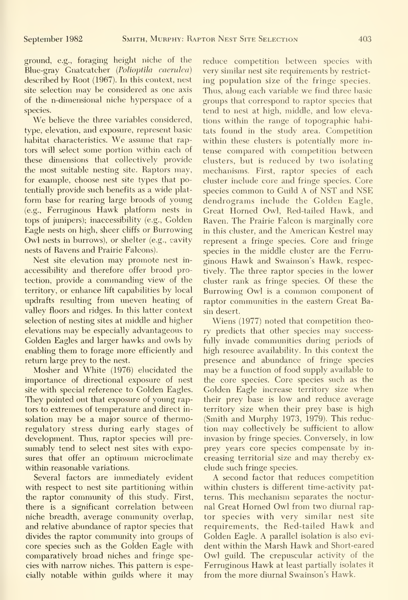ground, e.g., foraging height niche of the Blue-gray Gnatcatcher (Polioptila caerulea) described by Root (1967). In this context, nest site selection may be considered as one axis of the n-dimensional niche hyperspace of a species.

We believe the three variables considered, type, elevation, and exposure, represent basic habitat characteristics. We assume that raptors will select some portion within each of these dimensions that collectively provide the most suitable nesting site. Raptors may, for example, choose nest site types that potentially provide such benefits as a wide platform base for rearing large broods of young (e.g.. Ferruginous Hawk platform nests in tops of junipers); inaccessibility (e.g., Golden Eagle nests on high, sheer cliffs or Burrowing Owl nests in burrows), or shelter (e.g., cavity nests of Ravens and Prairie Falcons).

Nest site elevation may promote nest in accessibility and therefore offer brood protection, provide a commanding view of the territory, or enhance lift capabilities by local updrafts resulting from uneven heating of valley floors and ridges. In this latter context selection of nesting sites at middle and higher elevations may be especially advantageous to Golden Eagles and larger hawks and owls by enabling them to forage more efficiently and return large prey to the nest.

Mosher and White (1976) elucidated the importance of directional exposure of nest site with special reference to Golden Eagles. They pointed out that exposure of young raptors to extremes of temperature and direct in solation may be a major source of thermoregulatory stress during early stages of development. Thus, raptor species will pre sumably tend to select nest sites with exposures that offer an optimum microclimate within reasonable variations.

Several factors are immediately evident with respect to nest site partitioning within the raptor community of this study. First, there is a significant correlation between niche breadth, average community overlap, and relative abundance of raptor species that divides the raptor community into groups of core species such as the Golden Eagle with comparatively broad niches and fringe species with narrow niches. This pattern is especially notable within guilds where it may reduce competition between species with very similar nest site requirements by restrict ing population size of the fringe species. Thus, along each variable we find three basic groups that correspond to raptor species that tend to nest at high, middle, and low elevations within the range of topographic habitats found in the study area. Gompetition within these clusters is potentially more in tense compared with competition between clusters, but is reduced by two isolating mechanisms. First, raptor species of each cluster include core and fringe species. Core species common to Guild A of NST and NSE dendrograms include the Golden Eagle, Great Horned Owl, Red-tailed Hawk, and Raven. The Prairie Falcon is marginally core in this cluster, and the American Kestrel may represent a fringe species. Core and fringe species in the middle cluster are the Ferru ginous Hawk and Swainson's Hawk, respectively. The three raptor species in the lower cluster rank as fringe species. Of these the Burrowing Owl is <sup>a</sup> common component of raptor communities in the eastern Great Basin desert.

Wiens (1977) noted that competition theory predicts that other species may successfully invade communities during periods of high resource availability. In this context the presence and abundance of fringe species may be a function of food supply available to the core species. Core species such as the Golden Eagle increase territory size when their prey base is low and reduce average territory size when their prey base is high (Smith and Murphy 1973, 1979). This reduction may collectively be sufficient to allow invasion by fringe species. Conversely, in low prey years core species compensate by in creasing territorial size and may thereby ex clude such fringe species.

A second factor that reduces competition within clusters is different time-activity patterns. This mechanism separates the nocturnal Great Horned Owl from two diurnal raptor species with very similar nest site requirements, the Red-tailed Hawk and Golden Eagle. A parallel isolation is also evi dent within the Marsh Hawk and Short-eared Owl guild. The crepuscular activity of the Ferruginous Hawk at least partially isolates it from the more diurnal Swainson's Hawk.